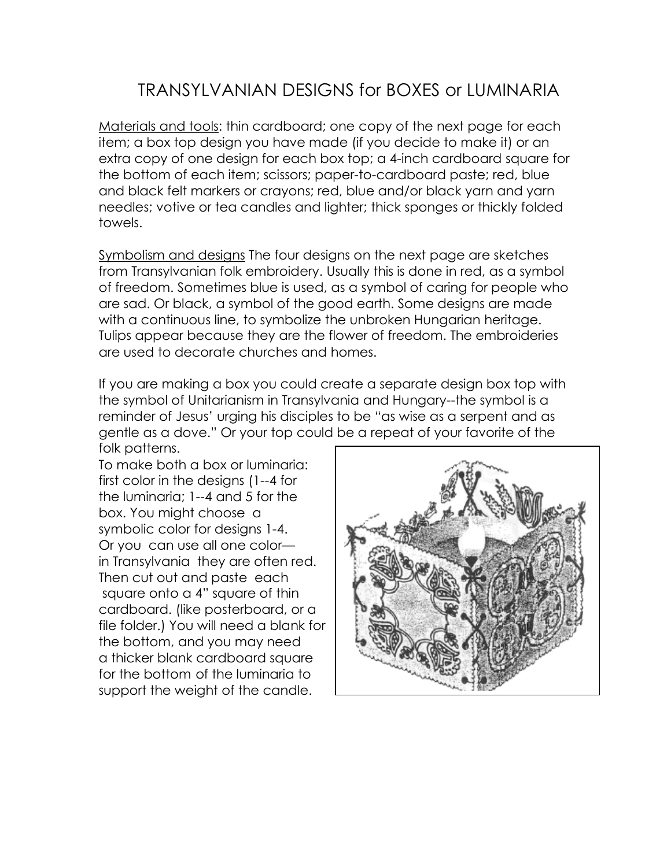## TRANSYLVANIAN DESIGNS for BOXES or LUMINARIA

Materials and tools: thin cardboard; one copy of the next page for each item; a box top design you have made (if you decide to make it) or an extra copy of one design for each box top; a 4-inch cardboard square for the bottom of each item; scissors; paper-to-cardboard paste; red, blue and black felt markers or crayons; red, blue and/or black yarn and yarn needles; votive or tea candles and lighter; thick sponges or thickly folded towels.

Symbolism and designs The four designs on the next page are sketches from Transylvanian folk embroidery. Usually this is done in red, as a symbol of freedom. Sometimes blue is used, as a symbol of caring for people who are sad. Or black, a symbol of the good earth. Some designs are made with a continuous line, to symbolize the unbroken Hungarian heritage. Tulips appear because they are the flower of freedom. The embroideries are used to decorate churches and homes.

If you are making a box you could create a separate design box top with the symbol of Unitarianism in Transylvania and Hungary--the symbol is a reminder of Jesus' urging his disciples to be "as wise as a serpent and as gentle as a dove." Or your top could be a repeat of your favorite of the folk patterns.

To make both a box or luminaria: first color in the designs (1--4 for the luminaria; 1--4 and 5 for the box. You might choose a symbolic color for designs 1-4. Or you can use all one color in Transylvania they are often red. Then cut out and paste each square onto a 4" square of thin cardboard. (like posterboard, or a file folder.) You will need a blank for the bottom, and you may need a thicker blank cardboard square for the bottom of the luminaria to support the weight of the candle.

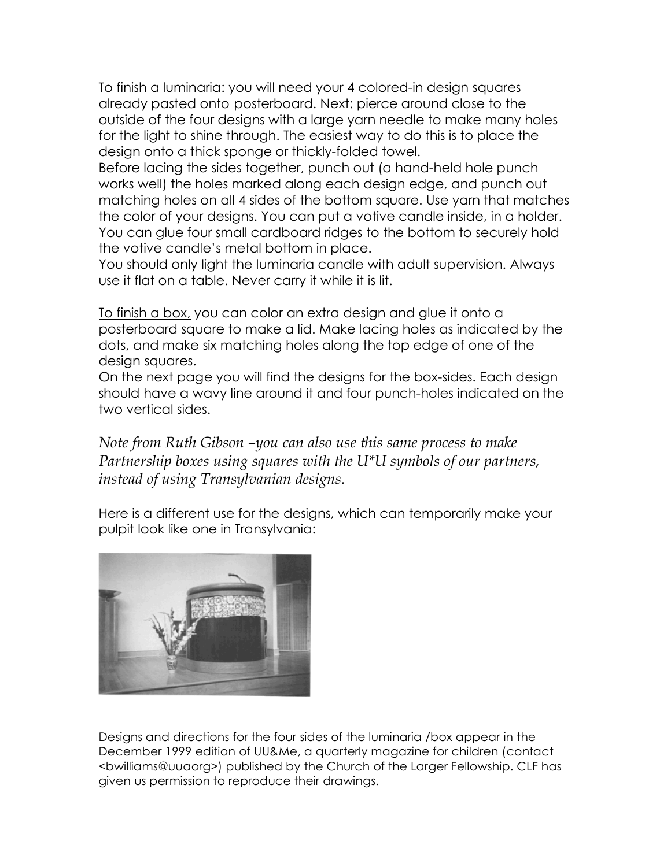To finish a luminaria: you will need your 4 colored-in design squares already pasted onto posterboard. Next: pierce around close to the outside of the four designs with a large yarn needle to make many holes for the light to shine through. The easiest way to do this is to place the design onto a thick sponge or thickly-folded towel.

Before lacing the sides together, punch out (a hand-held hole punch works well) the holes marked along each design edge, and punch out matching holes on all 4 sides of the bottom square. Use yarn that matches the color of your designs. You can put a votive candle inside, in a holder. You can glue four small cardboard ridges to the bottom to securely hold the votive candle's metal bottom in place.

You should only light the luminaria candle with adult supervision. Always use it flat on a table. Never carry it while it is lit.

To finish a box, you can color an extra design and glue it onto a posterboard square to make a lid. Make lacing holes as indicated by the dots, and make six matching holes along the top edge of one of the design squares.

On the next page you will find the designs for the box-sides. Each design should have a wavy line around it and four punch-holes indicated on the two vertical sides.

*Note from Ruth Gibson –you can also use this same process to make Partnership boxes using squares with the U\*U symbols of our partners, instead of using Transylvanian designs.*

Here is a different use for the designs, which can temporarily make your pulpit look like one in Transylvania:



Designs and directions for the four sides of the luminaria /box appear in the December 1999 edition of UU&Me, a quarterly magazine for children (contact <bwilliams@uuaorg>) published by the Church of the Larger Fellowship. CLF has given us permission to reproduce their drawings.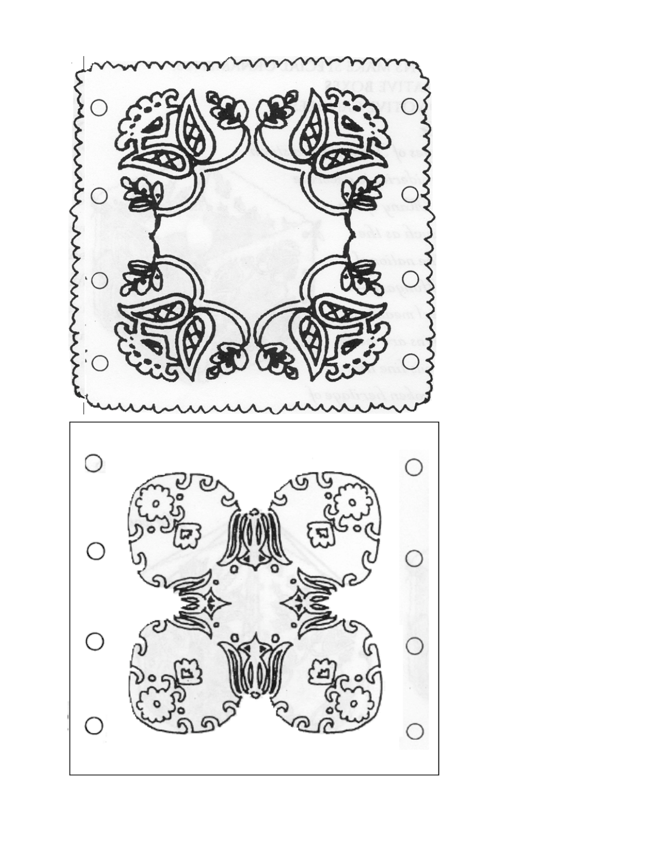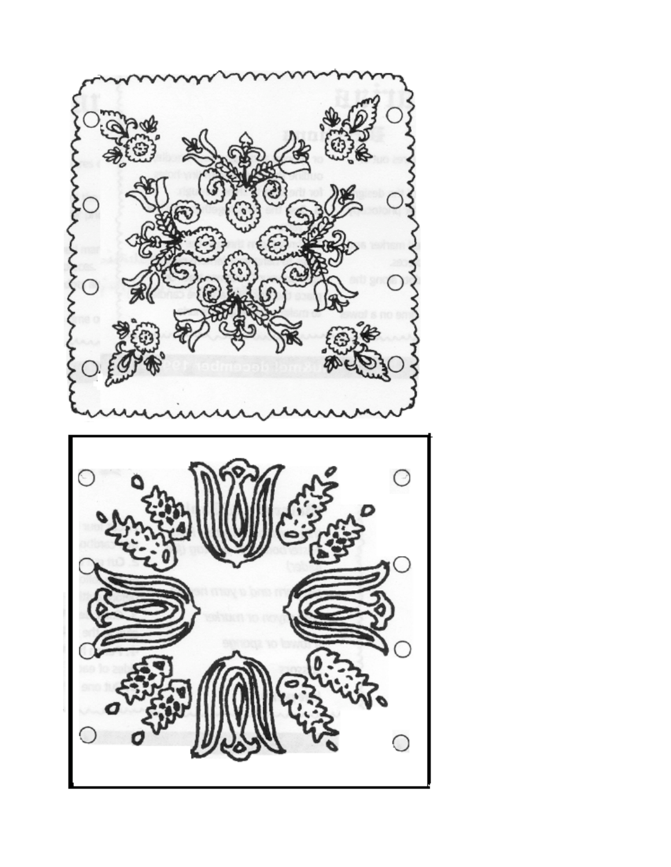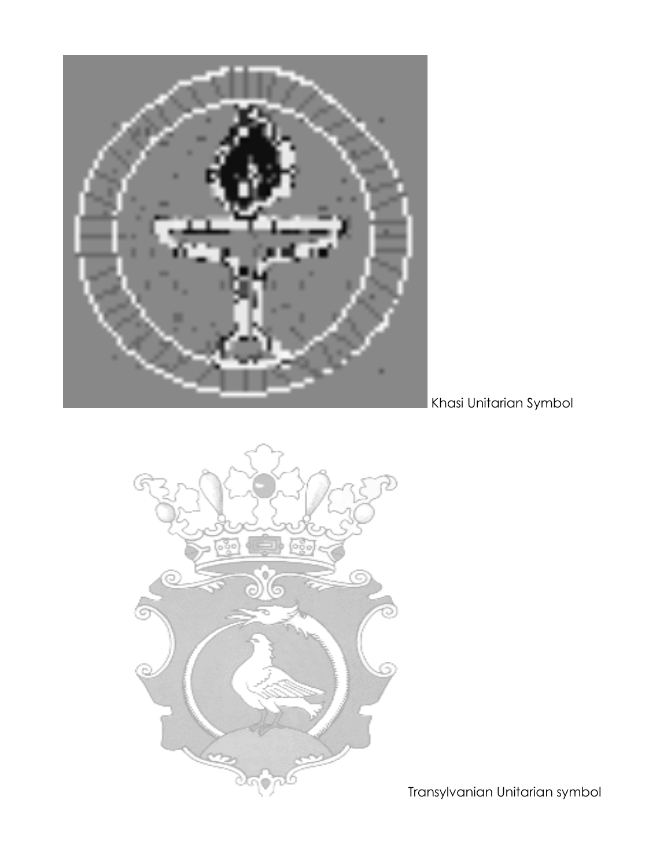

Khasi Unitarian Symbol



Transylvanian Unitarian symbol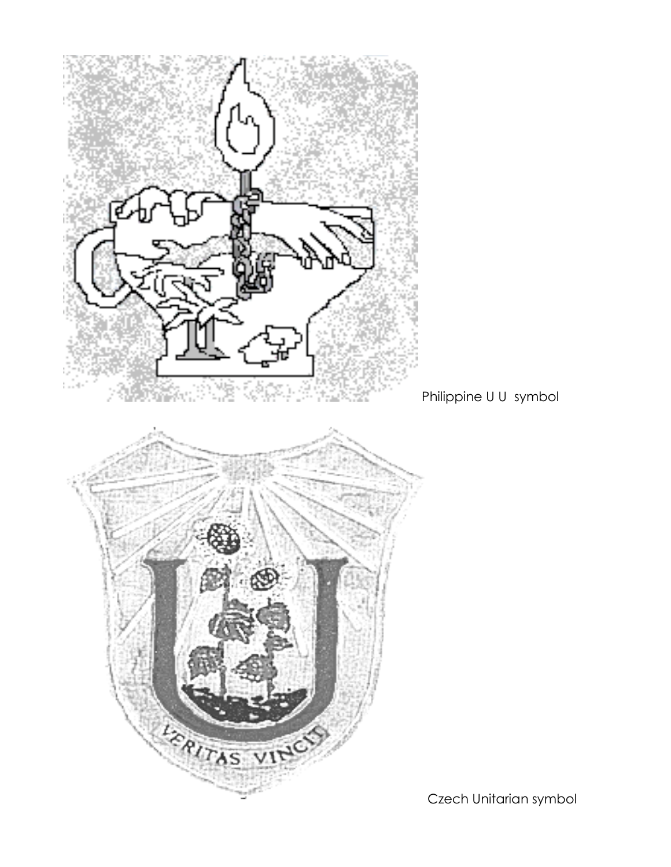